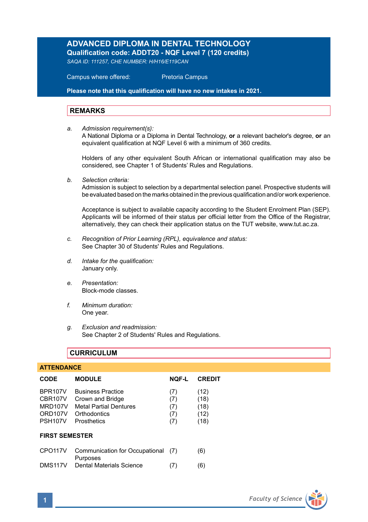# **ADVANCED DIPLOMA IN DENTAL TECHNOLOGY**

**Qualification code: ADDT20 - NQF Level 7 (120 credits)** 

*SAQA ID: 111257, CHE NUMBER: H/H16/E119CAN* 

 Campus where offered: Pretoria Campus

**Please note that this qualification will have no new intakes in 2021.**

## **REMARKS**

*a. Admission requirement(s):* 

A National Diploma or a Diploma in Dental Technology, **or** a relevant bachelor's degree, **or** an equivalent qualification at NQF Level 6 with a minimum of 360 credits.

Holders of any other equivalent South African or international qualification may also be considered, see Chapter 1 of Students' Rules and Regulations.

*b. Selection criteria:*

Admission is subject to selection by a departmental selection panel. Prospective students will be evaluated based on the marks obtained in the previous qualification and/or work experience.

Acceptance is subject to available capacity according to the Student Enrolment Plan (SEP). Applicants will be informed of their status per official letter from the Office of the Registrar, alternatively, they can check their application status on the TUT website, www.tut.ac.za.

- *c. Recognition of Prior Learning (RPL), equivalence and status:* See Chapter 30 of Students' Rules and Regulations.
- *d. Intake for the qualification:* January only.
- *e. Presentation:* Block-mode classes.
- *f. Minimum duration:* One year.
- *g. Exclusion and readmission:* See Chapter 2 of Students' Rules and Regulations.

## **CURRICULUM**

## **ATTENDANCE**

| <b>CODE</b>                                                                                                    | <b>MODULE</b>                                                                                                | NOF-L                           | <b>CREDIT</b>                        |  |  |
|----------------------------------------------------------------------------------------------------------------|--------------------------------------------------------------------------------------------------------------|---------------------------------|--------------------------------------|--|--|
| BPR <sub>107</sub> V<br>CBR <sub>107</sub> V<br>MRD <sub>107</sub> V<br>ORD <sub>107</sub> V<br><b>PSH107V</b> | <b>Business Practice</b><br>Crown and Bridge<br><b>Metal Partial Dentures</b><br>Orthodontics<br>Prosthetics | (7)<br>(7)<br>(7)<br>(7)<br>(7) | (12)<br>(18)<br>(18)<br>(12)<br>(18) |  |  |
| <b>FIRST SEMESTER</b>                                                                                          |                                                                                                              |                                 |                                      |  |  |
| CPO <sub>117V</sub>                                                                                            | Communication for Occupational<br>Purposes                                                                   | (7)                             | (6)                                  |  |  |
| DMS117V                                                                                                        | Dental Materials Science                                                                                     | (7)                             | (6)                                  |  |  |

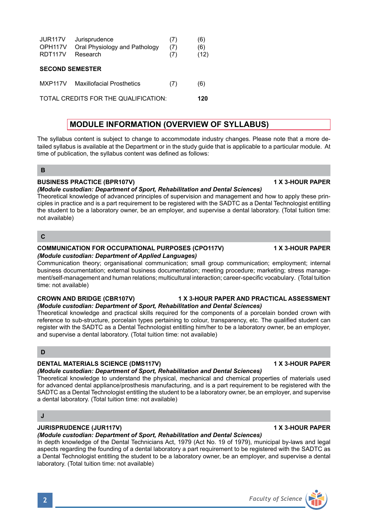| OPH <sub>117V</sub><br><b>RDT117V</b> | Oral Physiology and Pathology<br>Research | (7)<br>(7) | (6)<br>(12) |
|---------------------------------------|-------------------------------------------|------------|-------------|
| <b>SECOND SEMESTER</b>                |                                           |            |             |
| <b>MXP117V</b>                        | <b>Maxillofacial Prosthetics</b>          | (7)        | (6)         |
| TOTAL CREDITS FOR THE QUALIFICATION:  |                                           |            | 120         |

JUR117V Jurisprudence (7) (6)

# **MODULE INFORMATION (OVERVIEW OF SYLLABUS)**

The syllabus content is subject to change to accommodate industry changes. Please note that a more detailed syllabus is available at the Department or in the study guide that is applicable to a particular module. At time of publication, the syllabus content was defined as follows:

## **B**

## **BUSINESS PRACTICE (BPR107V) 1 X 3-HOUR PAPER**

## *(Module custodian: Department of Sport, Rehabilitation and Dental Sciences)*

Theoretical knowledge of advanced principles of supervision and management and how to apply these principles in practice and is a part requirement to be registered with the SADTC as a Dental Technologist entitling the student to be a laboratory owner, be an employer, and supervise a dental laboratory. (Total tuition time: not available)

## **C**

### **COMMUNICATION FOR OCCUPATIONAL PURPOSES (CPO117V) 1 X 3-HOUR PAPER** *(Module custodian: Department of Applied Languages)*

Communication theory; organisational communication; small group communication; employment; internal business documentation; external business documentation; meeting procedure; marketing; stress management/self-management and human relations; multicultural interaction; career-specific vocabulary. (Total tuition time: not available)

### **CROWN AND BRIDGE (CBR107V) 1 X 3-HOUR PAPER AND PRACTICAL ASSESSMENT**

### *(Module custodian: Department of Sport, Rehabilitation and Dental Sciences)* Theoretical knowledge and practical skills required for the components of a porcelain bonded crown with reference to sub-structure, porcelain types pertaining to colour, transparency, etc. The qualified student can register with the SADTC as a Dental Technologist entitling him/her to be a laboratory owner, be an employer, and supervise a dental laboratory. (Total tuition time: not available)

## **D**

## **DENTAL MATERIALS SCIENCE (DMS117V) 1 X 3-HOUR PAPER**

## *(Module custodian: Department of Sport, Rehabilitation and Dental Sciences)*

Theoretical knowledge to understand the physical, mechanical and chemical properties of materials used for advanced dental appliance/prosthesis manufacturing, and is a part requirement to be registered with the SADTC as a Dental Technologist entitling the student to be a laboratory owner, be an employer, and supervise a dental laboratory. (Total tuition time: not available)

## **J**

# **JURISPRUDENCE (JUR117V) 1 X 3-HOUR PAPER**

# *(Module custodian: Department of Sport, Rehabilitation and Dental Sciences)*

In depth knowledge of the Dental Technicians Act, 1979 (Act No. 19 of 1979), municipal by-laws and legal aspects regarding the founding of a dental laboratory a part requirement to be registered with the SADTC as a Dental Technologist entitling the student to be a laboratory owner, be an employer, and supervise a dental laboratory. (Total tuition time: not available)